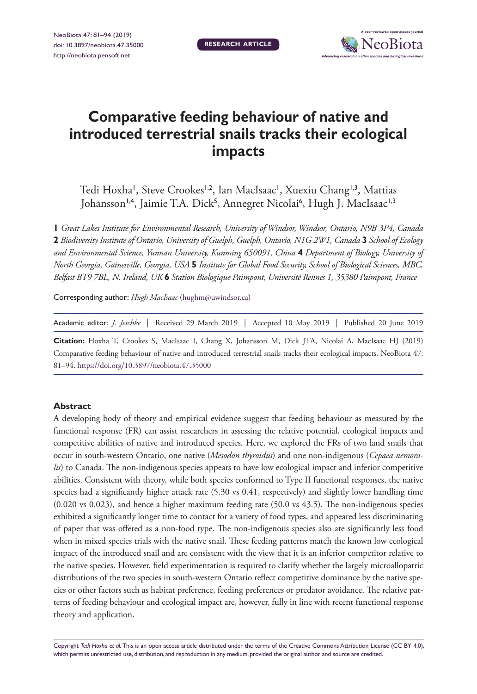**RESEARCH ARTICLE**



# **Comparative feeding behaviour of native and introduced terrestrial snails tracks their ecological impacts**

Tedi Hoxha', Steve Crookes'<sup>1,2</sup>, Ian MacIsaac', Xuexiu Chang'<sup>1,3</sup>, Mattias Johansson'<sup>,4</sup>, Jaimie T.A. Dick<sup>5</sup>, Annegret Nicolai<sup>6</sup>, Hugh J. MacIsaac'<sup>,3</sup>

**1** *Great Lakes Institute for Environmental Research, University of Windsor, Windsor, Ontario, N9B 3P4, Canada*  **2** *Biodiversity Institute of Ontario, University of Guelph, Guelph, Ontario, N1G 2W1, Canada* **3** *School of Ecology and Environmental Science, Yunnan University, Kunming 650091, China* **4** *Department of Biology, University of North Georgia, Gainesville, Georgia, USA* **5** *Institute for Global Food Security, School of Biological Sciences, MBC, Belfast BT9 7BL, N. Ireland, UK* **6** *Station Biologique Paimpont, Université Rennes 1, 35380 Paimpont, France*

Corresponding author: *Hugh MacIsaac* ([hughm@uwindsor.ca](mailto:hughm@uwindsor.ca))

Academic editor: *J. Jeschke* | Received 29 March 2019 | Accepted 10 May 2019 | Published 20 June 2019

**Citation:** Hoxha T, Crookes S, MacIsaac I, Chang X, Johansson M, Dick JTA, Nicolai A, MacIsaac HJ (2019) Comparative feeding behaviour of native and introduced terrestrial snails tracks their ecological impacts. NeoBiota 47: 81–94. <https://doi.org/10.3897/neobiota.47.35000>

#### **Abstract**

A developing body of theory and empirical evidence suggest that feeding behaviour as measured by the functional response (FR) can assist researchers in assessing the relative potential, ecological impacts and competitive abilities of native and introduced species. Here, we explored the FRs of two land snails that occur in south-western Ontario, one native (*Mesodon thyroidus*) and one non-indigenous (*Cepaea nemoralis*) to Canada. The non-indigenous species appears to have low ecological impact and inferior competitive abilities. Consistent with theory, while both species conformed to Type II functional responses, the native species had a significantly higher attack rate (5.30 vs 0.41, respectively) and slightly lower handling time (0.020 vs 0.023), and hence a higher maximum feeding rate (50.0 vs 43.5). The non-indigenous species exhibited a significantly longer time to contact for a variety of food types, and appeared less discriminating of paper that was offered as a non-food type. The non-indigenous species also ate significantly less food when in mixed species trials with the native snail. These feeding patterns match the known low ecological impact of the introduced snail and are consistent with the view that it is an inferior competitor relative to the native species. However, field experimentation is required to clarify whether the largely microallopatric distributions of the two species in south-western Ontario reflect competitive dominance by the native species or other factors such as habitat preference, feeding preferences or predator avoidance. The relative patterns of feeding behaviour and ecological impact are, however, fully in line with recent functional response theory and application.

Copyright *Tedi Hoxha et al.* This is an open access article distributed under the terms of the [Creative Commons Attribution License \(CC BY 4.0\),](http://creativecommons.org/licenses/by/4.0/) which permits unrestricted use, distribution, and reproduction in any medium, provided the original author and source are credited.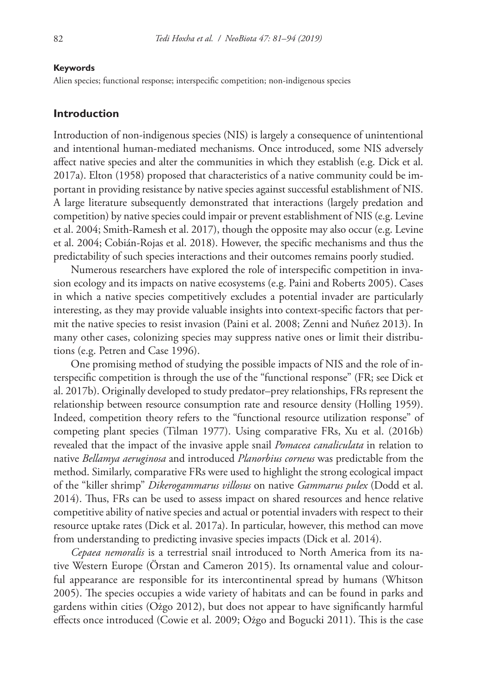#### **Keywords**

Alien species; functional response; interspecific competition; non-indigenous species

# **Introduction**

Introduction of non-indigenous species (NIS) is largely a consequence of unintentional and intentional human-mediated mechanisms. Once introduced, some NIS adversely affect native species and alter the communities in which they establish (e.g. Dick et al. 2017a). Elton (1958) proposed that characteristics of a native community could be important in providing resistance by native species against successful establishment of NIS. A large literature subsequently demonstrated that interactions (largely predation and competition) by native species could impair or prevent establishment of NIS (e.g. Levine et al. 2004; Smith-Ramesh et al. 2017), though the opposite may also occur (e.g. Levine et al. 2004; Cobián-Rojas et al. 2018). However, the specific mechanisms and thus the predictability of such species interactions and their outcomes remains poorly studied.

Numerous researchers have explored the role of interspecific competition in invasion ecology and its impacts on native ecosystems (e.g. Paini and Roberts 2005). Cases in which a native species competitively excludes a potential invader are particularly interesting, as they may provide valuable insights into context-specific factors that permit the native species to resist invasion (Paini et al. 2008; Zenni and Nuñez 2013). In many other cases, colonizing species may suppress native ones or limit their distributions (e.g. Petren and Case 1996).

One promising method of studying the possible impacts of NIS and the role of interspecific competition is through the use of the "functional response" (FR; see Dick et al. 2017b). Originally developed to study predator–prey relationships, FRs represent the relationship between resource consumption rate and resource density (Holling 1959). Indeed, competition theory refers to the "functional resource utilization response" of competing plant species (Tilman 1977). Using comparative FRs, Xu et al. (2016b) revealed that the impact of the invasive apple snail *Pomacea canaliculata* in relation to native *Bellamya aeruginosa* and introduced *Planorbius corneus* was predictable from the method. Similarly, comparative FRs were used to highlight the strong ecological impact of the "killer shrimp" *Dikerogammarus villosus* on native *Gammarus pulex* (Dodd et al. 2014). Thus, FRs can be used to assess impact on shared resources and hence relative competitive ability of native species and actual or potential invaders with respect to their resource uptake rates (Dick et al. 2017a). In particular, however, this method can move from understanding to predicting invasive species impacts (Dick et al. 2014).

*Cepaea nemoralis* is a terrestrial snail introduced to North America from its native Western Europe (Örstan and Cameron 2015). Its ornamental value and colourful appearance are responsible for its intercontinental spread by humans (Whitson 2005). The species occupies a wide variety of habitats and can be found in parks and gardens within cities (Ożgo 2012), but does not appear to have significantly harmful effects once introduced (Cowie et al. 2009; Ożgo and Bogucki 2011). This is the case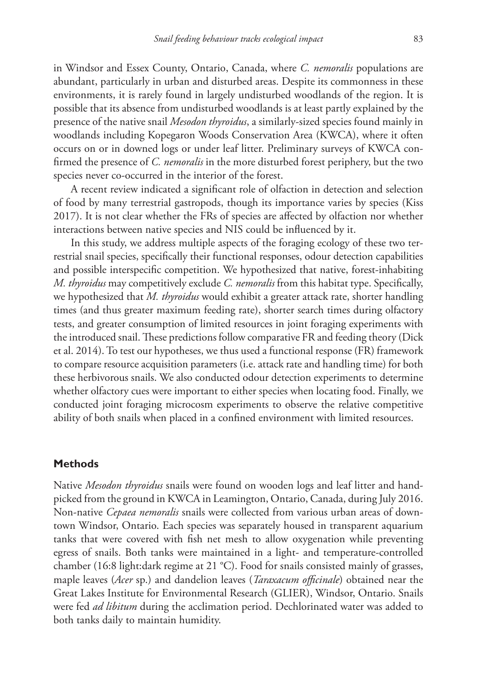in Windsor and Essex County, Ontario, Canada, where *C. nemoralis* populations are abundant, particularly in urban and disturbed areas. Despite its commonness in these environments, it is rarely found in largely undisturbed woodlands of the region. It is possible that its absence from undisturbed woodlands is at least partly explained by the presence of the native snail *Mesodon thyroidus*, a similarly-sized species found mainly in woodlands including Kopegaron Woods Conservation Area (KWCA), where it often occurs on or in downed logs or under leaf litter. Preliminary surveys of KWCA confirmed the presence of *C. nemoralis* in the more disturbed forest periphery, but the two species never co-occurred in the interior of the forest.

A recent review indicated a significant role of olfaction in detection and selection of food by many terrestrial gastropods, though its importance varies by species (Kiss 2017). It is not clear whether the FRs of species are affected by olfaction nor whether interactions between native species and NIS could be influenced by it.

In this study, we address multiple aspects of the foraging ecology of these two terrestrial snail species, specifically their functional responses, odour detection capabilities and possible interspecific competition. We hypothesized that native, forest-inhabiting *M. thyroidus* may competitively exclude *C. nemoralis* from this habitat type. Specifically, we hypothesized that *M. thyroidus* would exhibit a greater attack rate, shorter handling times (and thus greater maximum feeding rate), shorter search times during olfactory tests, and greater consumption of limited resources in joint foraging experiments with the introduced snail. These predictions follow comparative FR and feeding theory (Dick et al. 2014). To test our hypotheses, we thus used a functional response (FR) framework to compare resource acquisition parameters (i.e. attack rate and handling time) for both these herbivorous snails. We also conducted odour detection experiments to determine whether olfactory cues were important to either species when locating food. Finally, we conducted joint foraging microcosm experiments to observe the relative competitive ability of both snails when placed in a confined environment with limited resources.

## **Methods**

Native *Mesodon thyroidus* snails were found on wooden logs and leaf litter and handpicked from the ground in KWCA in Leamington, Ontario, Canada, during July 2016. Non-native *Cepaea nemoralis* snails were collected from various urban areas of downtown Windsor, Ontario. Each species was separately housed in transparent aquarium tanks that were covered with fish net mesh to allow oxygenation while preventing egress of snails. Both tanks were maintained in a light- and temperature-controlled chamber (16:8 light:dark regime at 21 °C). Food for snails consisted mainly of grasses, maple leaves (*Acer* sp.) and dandelion leaves (*Taraxacum officinale*) obtained near the Great Lakes Institute for Environmental Research (GLIER), Windsor, Ontario. Snails were fed *ad libitum* during the acclimation period. Dechlorinated water was added to both tanks daily to maintain humidity.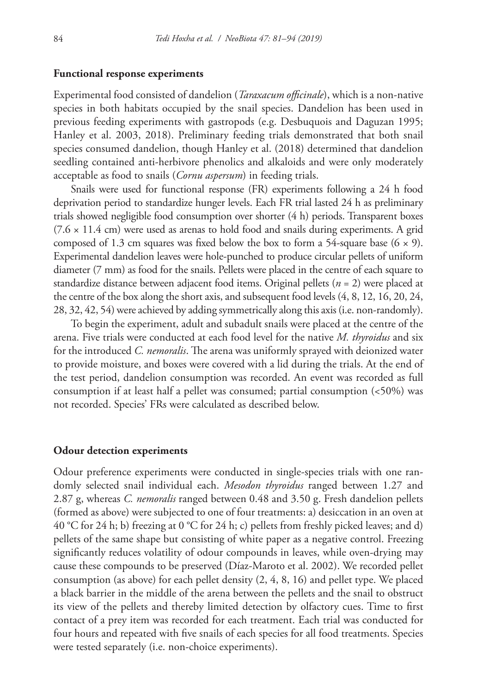## **Functional response experiments**

Experimental food consisted of dandelion (*Taraxacum officinale*), which is a non-native species in both habitats occupied by the snail species. Dandelion has been used in previous feeding experiments with gastropods (e.g. Desbuquois and Daguzan 1995; Hanley et al. 2003, 2018). Preliminary feeding trials demonstrated that both snail species consumed dandelion, though Hanley et al. (2018) determined that dandelion seedling contained anti-herbivore phenolics and alkaloids and were only moderately acceptable as food to snails (*Cornu aspersum*) in feeding trials.

Snails were used for functional response (FR) experiments following a 24 h food deprivation period to standardize hunger levels. Each FR trial lasted 24 h as preliminary trials showed negligible food consumption over shorter (4 h) periods. Transparent boxes  $(7.6 \times 11.4 \text{ cm})$  were used as arenas to hold food and snails during experiments. A grid composed of 1.3 cm squares was fixed below the box to form a 54-square base  $(6 \times 9)$ . Experimental dandelion leaves were hole-punched to produce circular pellets of uniform diameter (7 mm) as food for the snails. Pellets were placed in the centre of each square to standardize distance between adjacent food items. Original pellets (*n* = 2) were placed at the centre of the box along the short axis, and subsequent food levels (4, 8, 12, 16, 20, 24, 28, 32, 42, 54) were achieved by adding symmetrically along this axis (i.e. non-randomly).

To begin the experiment, adult and subadult snails were placed at the centre of the arena. Five trials were conducted at each food level for the native *M. thyroidus* and six for the introduced *C. nemoralis*. The arena was uniformly sprayed with deionized water to provide moisture, and boxes were covered with a lid during the trials. At the end of the test period, dandelion consumption was recorded. An event was recorded as full consumption if at least half a pellet was consumed; partial consumption (<50%) was not recorded. Species' FRs were calculated as described below.

#### **Odour detection experiments**

Odour preference experiments were conducted in single-species trials with one randomly selected snail individual each. *Mesodon thyroidus* ranged between 1.27 and 2.87 g, whereas *C. nemoralis* ranged between 0.48 and 3.50 g. Fresh dandelion pellets (formed as above) were subjected to one of four treatments: a) desiccation in an oven at 40 °C for 24 h; b) freezing at 0 °C for 24 h; c) pellets from freshly picked leaves; and d) pellets of the same shape but consisting of white paper as a negative control. Freezing significantly reduces volatility of odour compounds in leaves, while oven-drying may cause these compounds to be preserved (Díaz-Maroto et al. 2002). We recorded pellet consumption (as above) for each pellet density  $(2, 4, 8, 16)$  and pellet type. We placed a black barrier in the middle of the arena between the pellets and the snail to obstruct its view of the pellets and thereby limited detection by olfactory cues. Time to first contact of a prey item was recorded for each treatment. Each trial was conducted for four hours and repeated with five snails of each species for all food treatments. Species were tested separately (i.e. non-choice experiments).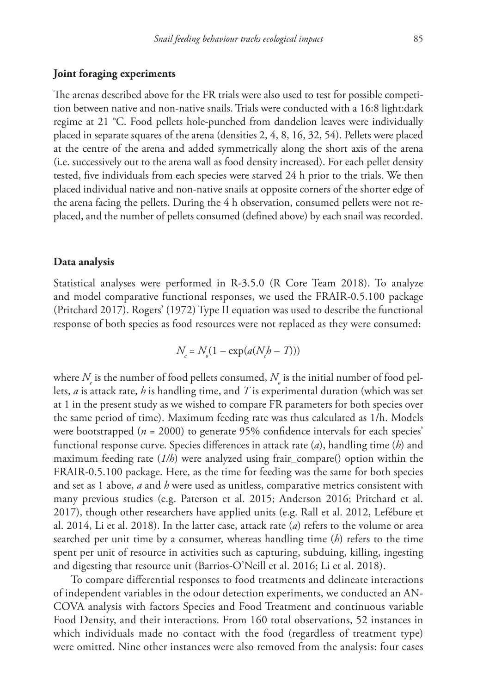## **Joint foraging experiments**

The arenas described above for the FR trials were also used to test for possible competition between native and non-native snails. Trials were conducted with a 16:8 light:dark regime at 21 °C. Food pellets hole-punched from dandelion leaves were individually placed in separate squares of the arena (densities 2, 4, 8, 16, 32, 54). Pellets were placed at the centre of the arena and added symmetrically along the short axis of the arena (i.e. successively out to the arena wall as food density increased). For each pellet density tested, five individuals from each species were starved 24 h prior to the trials. We then placed individual native and non-native snails at opposite corners of the shorter edge of the arena facing the pellets. During the 4 h observation, consumed pellets were not replaced, and the number of pellets consumed (defined above) by each snail was recorded.

#### **Data analysis**

Statistical analyses were performed in R-3.5.0 (R Core Team 2018). To analyze and model comparative functional responses, we used the FRAIR-0.5.100 package (Pritchard 2017). Rogers' (1972) Type II equation was used to describe the functional response of both species as food resources were not replaced as they were consumed:

$$
N_e = N_o(1 - \exp(a(N_e b - T)))
$$

where  $N_{_{\!\ell}}$  is the number of food pellets consumed,  $N_{_{\!\rho}}$  is the initial number of food pellets, *a* is attack rate, *h* is handling time, and *T* is experimental duration (which was set at 1 in the present study as we wished to compare FR parameters for both species over the same period of time). Maximum feeding rate was thus calculated as 1/h. Models were bootstrapped (*n* = 2000) to generate 95% confidence intervals for each species' functional response curve. Species differences in attack rate (*a*), handling time (*h*) and maximum feeding rate (*1/h*) were analyzed using frair\_compare() option within the FRAIR-0.5.100 package. Here, as the time for feeding was the same for both species and set as 1 above, *a* and *h* were used as unitless, comparative metrics consistent with many previous studies (e.g. Paterson et al. 2015; Anderson 2016; Pritchard et al. 2017), though other researchers have applied units (e.g. Rall et al. 2012, Lefébure et al. 2014, Li et al. 2018). In the latter case, attack rate (*a*) refers to the volume or area searched per unit time by a consumer, whereas handling time (*h*) refers to the time spent per unit of resource in activities such as capturing, subduing, killing, ingesting and digesting that resource unit (Barrios-O'Neill et al. 2016; Li et al. 2018).

To compare differential responses to food treatments and delineate interactions of independent variables in the odour detection experiments, we conducted an AN-COVA analysis with factors Species and Food Treatment and continuous variable Food Density, and their interactions. From 160 total observations, 52 instances in which individuals made no contact with the food (regardless of treatment type) were omitted. Nine other instances were also removed from the analysis: four cases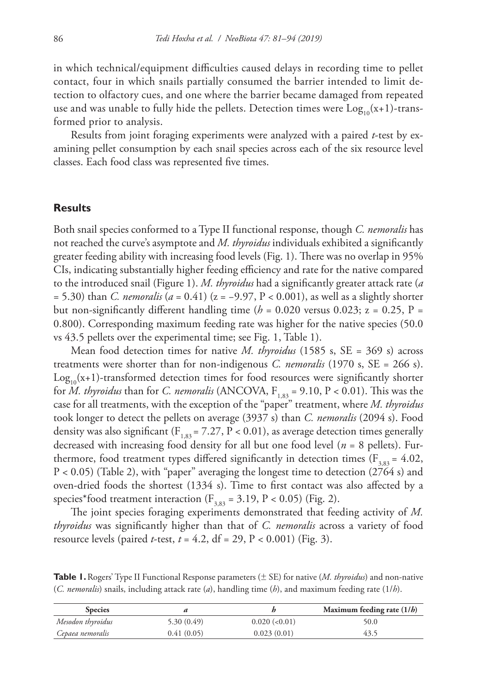in which technical/equipment difficulties caused delays in recording time to pellet contact, four in which snails partially consumed the barrier intended to limit detection to olfactory cues, and one where the barrier became damaged from repeated use and was unable to fully hide the pellets. Detection times were  $Log_{10}(x+1)$ -transformed prior to analysis.

Results from joint foraging experiments were analyzed with a paired *t*-test by examining pellet consumption by each snail species across each of the six resource level classes. Each food class was represented five times.

## **Results**

Both snail species conformed to a Type II functional response, though *C. nemoralis* has not reached the curve's asymptote and *M. thyroidus* individuals exhibited a significantly greater feeding ability with increasing food levels (Fig. 1). There was no overlap in 95% CIs, indicating substantially higher feeding efficiency and rate for the native compared to the introduced snail (Figure 1). *M. thyroidus* had a significantly greater attack rate (*a*  = 5.30) than *C. nemoralis* (*a* = 0.41) (z = −9.97, P < 0.001), as well as a slightly shorter but non-significantly different handling time ( $h = 0.020$  versus 0.023;  $z = 0.25$ ,  $P =$ 0.800). Corresponding maximum feeding rate was higher for the native species (50.0 vs 43.5 pellets over the experimental time; see Fig. 1, Table 1).

Mean food detection times for native *M. thyroidus* (1585 s, SE = 369 s) across treatments were shorter than for non-indigenous *C. nemoralis* (1970 s, SE = 266 s).  $Log<sub>10</sub>(x+1)$ -transformed detection times for food resources were significantly shorter for *M. thyroidus* than for *C. nemoralis* (ANCOVA,  $F_{1,83} = 9.10$ ,  $P < 0.01$ ). This was the case for all treatments, with the exception of the "paper" treatment, where *M. thyroidus* took longer to detect the pellets on average (3937 s) than *C. nemoralis* (2094 s). Food density was also significant ( $F_{1,83}$  = 7.27, P < 0.01), as average detection times generally decreased with increasing food density for all but one food level (*n* = 8 pellets). Furthermore, food treatment types differed significantly in detection times ( $F_{3,83} = 4.02$ , P < 0.05) (Table 2), with "paper" averaging the longest time to detection (2764 s) and oven-dried foods the shortest (1334 s). Time to first contact was also affected by a species\*food treatment interaction ( $F_{3,83} = 3.19$ , P < 0.05) (Fig. 2).

The joint species foraging experiments demonstrated that feeding activity of *M. thyroidus* was significantly higher than that of *C. nemoralis* across a variety of food resource levels (paired *t*-test, *t* = 4.2, df = 29, P < 0.001) (Fig. 3).

| <b>Species</b>    |            |               | Maximum feeding rate $(1/b)$ |
|-------------------|------------|---------------|------------------------------|
| Mesodon thyroidus | 5.30(0.49) | 0.020~(<0.01) | 50.0                         |
| Cepaea nemoralis  | 0.41(0.05) | 0.023(0.01)   | 43.5                         |

**Table 1.** Rogers' Type II Functional Response parameters (± SE) for native (*M. thyroidus*) and non-native (*C. nemoralis*) snails, including attack rate (*a*), handling time (*h*), and maximum feeding rate (1/*h*).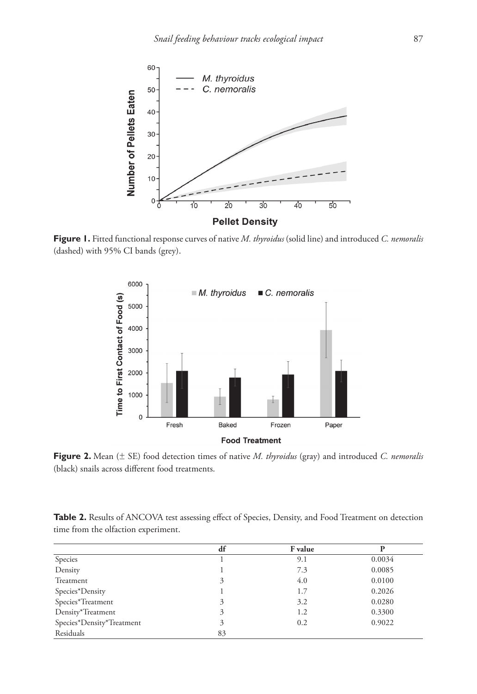

**Figure 1.** Fitted functional response curves of native *M. thyroidus* (solid line) and introduced *C. nemoralis*  (dashed) with 95% CI bands (grey).



**Figure 2.** Mean (± SE) food detection times of native *M. thyroidus* (gray) and introduced *C. nemoralis*  (black) snails across different food treatments.

| Table 2. Results of ANCOVA test assessing effect of Species, Density, and Food Treatment on detection |  |  |
|-------------------------------------------------------------------------------------------------------|--|--|
| time from the olfaction experiment.                                                                   |  |  |

|                           | df | F value |        |
|---------------------------|----|---------|--------|
| Species                   |    | 9.1     | 0.0034 |
| Density                   |    | 7.3     | 0.0085 |
| Treatment                 | 3  | 4.0     | 0.0100 |
| Species*Density           |    | 1.7     | 0.2026 |
| Species*Treatment         | 3  | 3.2     | 0.0280 |
| Density*Treatment         | 3  | 1.2     | 0.3300 |
| Species*Density*Treatment | 3  | 0.2     | 0.9022 |
| Residuals                 | 83 |         |        |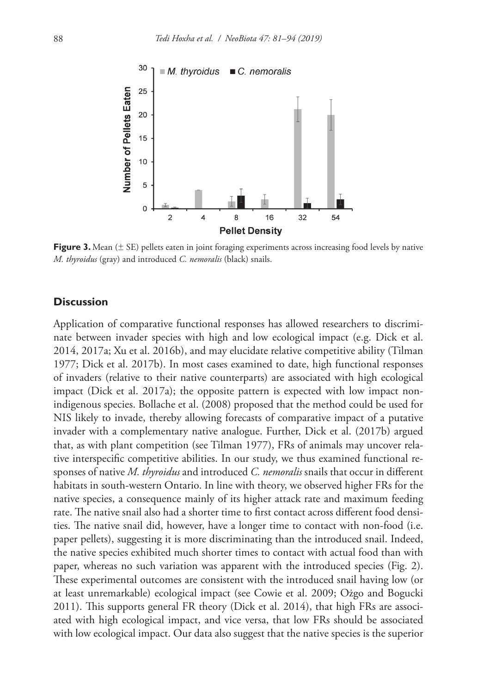

**Figure 3.** Mean ( $\pm$  SE) pellets eaten in joint foraging experiments across increasing food levels by native *M. thyroidus* (gray) and introduced *C. nemoralis* (black) snails.

# **Discussion**

Application of comparative functional responses has allowed researchers to discriminate between invader species with high and low ecological impact (e.g. Dick et al. 2014, 2017a; Xu et al. 2016b), and may elucidate relative competitive ability (Tilman 1977; Dick et al. 2017b). In most cases examined to date, high functional responses of invaders (relative to their native counterparts) are associated with high ecological impact (Dick et al. 2017a); the opposite pattern is expected with low impact nonindigenous species. Bollache et al. (2008) proposed that the method could be used for NIS likely to invade, thereby allowing forecasts of comparative impact of a putative invader with a complementary native analogue. Further, Dick et al. (2017b) argued that, as with plant competition (see Tilman 1977), FRs of animals may uncover relative interspecific competitive abilities. In our study, we thus examined functional responses of native *M. thyroidus* and introduced *C. nemoralis* snails that occur in different habitats in south-western Ontario. In line with theory, we observed higher FRs for the native species, a consequence mainly of its higher attack rate and maximum feeding rate. The native snail also had a shorter time to first contact across different food densities. The native snail did, however, have a longer time to contact with non-food (i.e. paper pellets), suggesting it is more discriminating than the introduced snail. Indeed, the native species exhibited much shorter times to contact with actual food than with paper, whereas no such variation was apparent with the introduced species (Fig. 2). These experimental outcomes are consistent with the introduced snail having low (or at least unremarkable) ecological impact (see Cowie et al. 2009; Ożgo and Bogucki 2011). This supports general FR theory (Dick et al. 2014), that high FRs are associated with high ecological impact, and vice versa, that low FRs should be associated with low ecological impact. Our data also suggest that the native species is the superior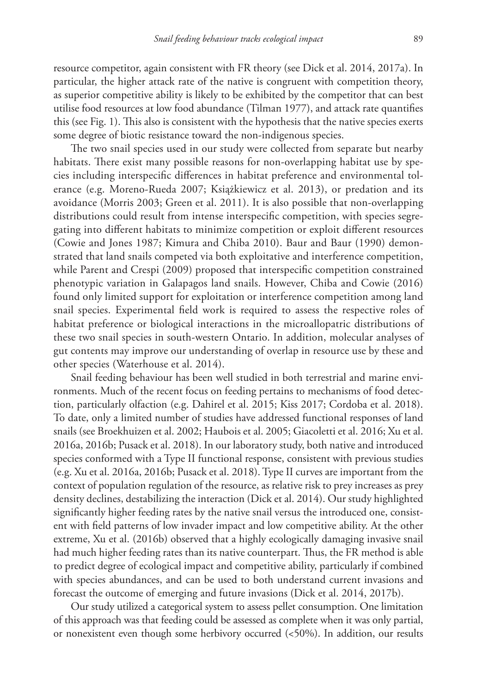resource competitor, again consistent with FR theory (see Dick et al. 2014, 2017a). In particular, the higher attack rate of the native is congruent with competition theory, as superior competitive ability is likely to be exhibited by the competitor that can best utilise food resources at low food abundance (Tilman 1977), and attack rate quantifies this (see Fig. 1). This also is consistent with the hypothesis that the native species exerts some degree of biotic resistance toward the non-indigenous species.

The two snail species used in our study were collected from separate but nearby habitats. There exist many possible reasons for non-overlapping habitat use by species including interspecific differences in habitat preference and environmental tolerance (e.g. Moreno-Rueda 2007; Książkiewicz et al. 2013), or predation and its avoidance (Morris 2003; Green et al. 2011). It is also possible that non-overlapping distributions could result from intense interspecific competition, with species segregating into different habitats to minimize competition or exploit different resources (Cowie and Jones 1987; Kimura and Chiba 2010). Baur and Baur (1990) demonstrated that land snails competed via both exploitative and interference competition, while Parent and Crespi (2009) proposed that interspecific competition constrained phenotypic variation in Galapagos land snails. However, Chiba and Cowie (2016) found only limited support for exploitation or interference competition among land snail species. Experimental field work is required to assess the respective roles of habitat preference or biological interactions in the microallopatric distributions of these two snail species in south-western Ontario. In addition, molecular analyses of gut contents may improve our understanding of overlap in resource use by these and other species (Waterhouse et al. 2014).

Snail feeding behaviour has been well studied in both terrestrial and marine environments. Much of the recent focus on feeding pertains to mechanisms of food detection, particularly olfaction (e.g. Dahirel et al. 2015; Kiss 2017; Cordoba et al. 2018). To date, only a limited number of studies have addressed functional responses of land snails (see Broekhuizen et al. 2002; Haubois et al. 2005; Giacoletti et al. 2016; Xu et al. 2016a, 2016b; Pusack et al. 2018). In our laboratory study, both native and introduced species conformed with a Type II functional response, consistent with previous studies (e.g. Xu et al. 2016a, 2016b; Pusack et al. 2018). Type II curves are important from the context of population regulation of the resource, as relative risk to prey increases as prey density declines, destabilizing the interaction (Dick et al. 2014). Our study highlighted significantly higher feeding rates by the native snail versus the introduced one, consistent with field patterns of low invader impact and low competitive ability. At the other extreme, Xu et al. (2016b) observed that a highly ecologically damaging invasive snail had much higher feeding rates than its native counterpart. Thus, the FR method is able to predict degree of ecological impact and competitive ability, particularly if combined with species abundances, and can be used to both understand current invasions and forecast the outcome of emerging and future invasions (Dick et al. 2014, 2017b).

Our study utilized a categorical system to assess pellet consumption. One limitation of this approach was that feeding could be assessed as complete when it was only partial, or nonexistent even though some herbivory occurred (<50%). In addition, our results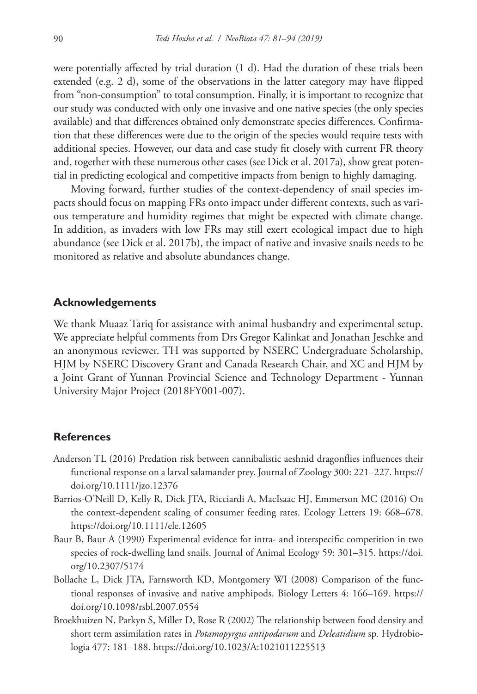were potentially affected by trial duration (1 d). Had the duration of these trials been extended (e.g. 2 d), some of the observations in the latter category may have flipped from "non-consumption" to total consumption. Finally, it is important to recognize that our study was conducted with only one invasive and one native species (the only species available) and that differences obtained only demonstrate species differences. Confirmation that these differences were due to the origin of the species would require tests with additional species. However, our data and case study fit closely with current FR theory and, together with these numerous other cases (see Dick et al. 2017a), show great potential in predicting ecological and competitive impacts from benign to highly damaging.

Moving forward, further studies of the context-dependency of snail species impacts should focus on mapping FRs onto impact under different contexts, such as various temperature and humidity regimes that might be expected with climate change. In addition, as invaders with low FRs may still exert ecological impact due to high abundance (see Dick et al. 2017b), the impact of native and invasive snails needs to be monitored as relative and absolute abundances change.

# **Acknowledgements**

We thank Muaaz Tariq for assistance with animal husbandry and experimental setup. We appreciate helpful comments from Drs Gregor Kalinkat and Jonathan Jeschke and an anonymous reviewer. TH was supported by NSERC Undergraduate Scholarship, HJM by NSERC Discovery Grant and Canada Research Chair, and XC and HJM by a Joint Grant of Yunnan Provincial Science and Technology Department - Yunnan University Major Project (2018FY001-007).

## **References**

- Anderson TL (2016) Predation risk between cannibalistic aeshnid dragonflies influences their functional response on a larval salamander prey. Journal of Zoology 300: 221–227. [https://](https://doi.org/10.1111/jzo.12376) [doi.org/10.1111/jzo.12376](https://doi.org/10.1111/jzo.12376)
- Barrios-O'Neill D, Kelly R, Dick JTA, Ricciardi A, MacIsaac HJ, Emmerson MC (2016) On the context-dependent scaling of consumer feeding rates. Ecology Letters 19: 668–678. <https://doi.org/10.1111/ele.12605>
- Baur B, Baur A (1990) Experimental evidence for intra- and interspecific competition in two species of rock-dwelling land snails. Journal of Animal Ecology 59: 301–315. [https://doi.](https://doi.org/10.2307/5174) [org/10.2307/5174](https://doi.org/10.2307/5174)
- Bollache L, Dick JTA, Farnsworth KD, Montgomery WI (2008) Comparison of the functional responses of invasive and native amphipods. Biology Letters 4: 166–169. [https://](https://doi.org/10.1098/rsbl.2007.0554) [doi.org/10.1098/rsbl.2007.0554](https://doi.org/10.1098/rsbl.2007.0554)
- Broekhuizen N, Parkyn S, Miller D, Rose R (2002) The relationship between food density and short term assimilation rates in *Potamopyrgus antipodarum* and *Deleatidium* sp. Hydrobiologia 477: 181–188.<https://doi.org/10.1023/A:1021011225513>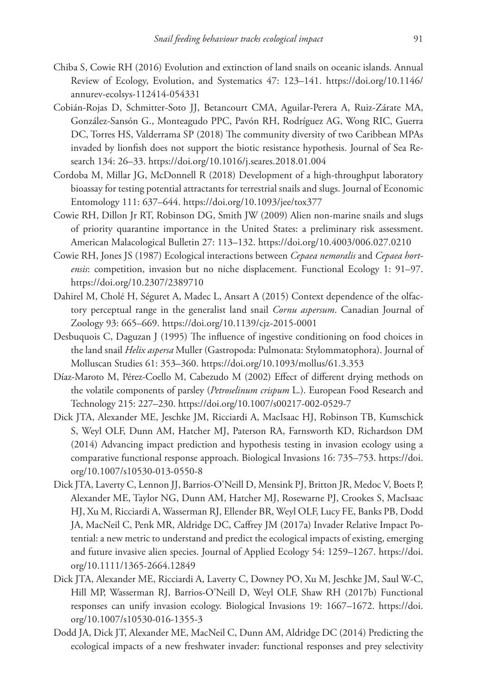- Chiba S, Cowie RH (2016) Evolution and extinction of land snails on oceanic islands. Annual Review of Ecology, Evolution, and Systematics 47: 123–141. [https://doi.org/10.1146/](https://doi.org/10.1146/annurev-ecolsys-112414-054331) [annurev-ecolsys-112414-054331](https://doi.org/10.1146/annurev-ecolsys-112414-054331)
- Cobián-Rojas D, Schmitter-Soto JJ, Betancourt CMA, Aguilar-Perera A, Ruiz-Zárate MA, González-Sansón G., Monteagudo PPC, Pavón RH, Rodríguez AG, Wong RIC, Guerra DC, Torres HS, Valderrama SP (2018) The community diversity of two Caribbean MPAs invaded by lionfish does not support the biotic resistance hypothesis. Journal of Sea Research 134: 26–33. <https://doi.org/10.1016/j.seares.2018.01.004>
- Cordoba M, Millar JG, McDonnell R (2018) Development of a high-throughput laboratory bioassay for testing potential attractants for terrestrial snails and slugs. Journal of Economic Entomology 111: 637–644. <https://doi.org/10.1093/jee/tox377>
- Cowie RH, Dillon Jr RT, Robinson DG, Smith JW (2009) Alien non-marine snails and slugs of priority quarantine importance in the United States: a preliminary risk assessment. American Malacological Bulletin 27: 113–132.<https://doi.org/10.4003/006.027.0210>
- Cowie RH, Jones JS (1987) Ecological interactions between *Cepaea nemoralis* and *Cepaea hortensis*: competition, invasion but no niche displacement. Functional Ecology 1: 91–97. <https://doi.org/10.2307/2389710>
- Dahirel M, Cholé H, Séguret A, Madec L, Ansart A (2015) Context dependence of the olfactory perceptual range in the generalist land snail *Cornu aspersum*. Canadian Journal of Zoology 93: 665–669.<https://doi.org/10.1139/cjz-2015-0001>
- Desbuquois C, Daguzan J (1995) The influence of ingestive conditioning on food choices in the land snail *Helix aspersa* Muller (Gastropoda: Pulmonata: Stylommatophora). Journal of Molluscan Studies 61: 353–360.<https://doi.org/10.1093/mollus/61.3.353>
- Díaz-Maroto M, Pérez-Coello M, Cabezudo M (2002) Effect of different drying methods on the volatile components of parsley (*Petroselinum crispum* L.). European Food Research and Technology 215: 227–230. <https://doi.org/10.1007/s00217-002-0529-7>
- Dick JTA, Alexander ME, Jeschke JM, Ricciardi A, MacIsaac HJ, Robinson TB, Kumschick S, Weyl OLF, Dunn AM, Hatcher MJ, Paterson RA, Farnsworth KD, Richardson DM (2014) Advancing impact prediction and hypothesis testing in invasion ecology using a comparative functional response approach. Biological Invasions 16: 735–753. [https://doi.](https://doi.org/10.1007/s10530-013-0550-8) [org/10.1007/s10530-013-0550-8](https://doi.org/10.1007/s10530-013-0550-8)
- Dick JTA, Laverty C, Lennon JJ, Barrios-O'Neill D, Mensink PJ, Britton JR, Medoc V, Boets P, Alexander ME, Taylor NG, Dunn AM, Hatcher MJ, Rosewarne PJ, Crookes S, MacIsaac HJ, Xu M, Ricciardi A, Wasserman RJ, Ellender BR, Weyl OLF, Lucy FE, Banks PB, Dodd JA, MacNeil C, Penk MR, Aldridge DC, Caffrey JM (2017a) Invader Relative Impact Potential: a new metric to understand and predict the ecological impacts of existing, emerging and future invasive alien species. Journal of Applied Ecology 54: 1259–1267. [https://doi.](https://doi.org/10.1111/1365-2664.12849) [org/10.1111/1365-2664.12849](https://doi.org/10.1111/1365-2664.12849)
- Dick JTA, Alexander ME, Ricciardi A, Laverty C, Downey PO, Xu M, Jeschke JM, Saul W-C, Hill MP, Wasserman RJ, Barrios-O'Neill D, Weyl OLF, Shaw RH (2017b) Functional responses can unify invasion ecology. Biological Invasions 19: 1667–1672. [https://doi.](https://doi.org/10.1007/s10530-016-1355-3) [org/10.1007/s10530-016-1355-3](https://doi.org/10.1007/s10530-016-1355-3)
- Dodd JA, Dick JT, Alexander ME, MacNeil C, Dunn AM, Aldridge DC (2014) Predicting the ecological impacts of a new freshwater invader: functional responses and prey selectivity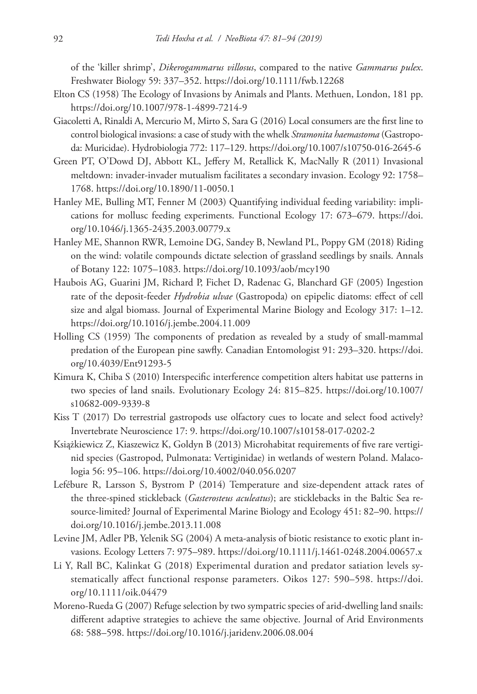of the 'killer shrimp', *Dikerogammarus villosus*, compared to the native *Gammarus pulex*. Freshwater Biology 59: 337–352. <https://doi.org/10.1111/fwb.12268>

- Elton CS (1958) The Ecology of Invasions by Animals and Plants. Methuen, London, 181 pp. <https://doi.org/10.1007/978-1-4899-7214-9>
- Giacoletti A, Rinaldi A, Mercurio M, Mirto S, Sara G (2016) Local consumers are the first line to control biological invasions: a case of study with the whelk *Stramonita haemastoma* (Gastropoda: Muricidae). Hydrobiologia 772: 117–129. <https://doi.org/10.1007/s10750-016-2645-6>
- Green PT, O'Dowd DJ, Abbott KL, Jeffery M, Retallick K, MacNally R (2011) Invasional meltdown: invader-invader mutualism facilitates a secondary invasion. Ecology 92: 1758– 1768.<https://doi.org/10.1890/11-0050.1>
- Hanley ME, Bulling MT, Fenner M (2003) Quantifying individual feeding variability: implications for mollusc feeding experiments. Functional Ecology 17: 673–679. [https://doi.](https://doi.org/10.1046/j.1365-2435.2003.00779.x) [org/10.1046/j.1365-2435.2003.00779.x](https://doi.org/10.1046/j.1365-2435.2003.00779.x)
- Hanley ME, Shannon RWR, Lemoine DG, Sandey B, Newland PL, Poppy GM (2018) Riding on the wind: volatile compounds dictate selection of grassland seedlings by snails. Annals of Botany 122: 1075–1083. <https://doi.org/10.1093/aob/mcy190>
- Haubois AG, Guarini JM, Richard P, Fichet D, Radenac G, Blanchard GF (2005) Ingestion rate of the deposit-feeder *Hydrobia ulvae* (Gastropoda) on epipelic diatoms: effect of cell size and algal biomass. Journal of Experimental Marine Biology and Ecology 317: 1–12. <https://doi.org/10.1016/j.jembe.2004.11.009>
- Holling CS (1959) The components of predation as revealed by a study of small-mammal predation of the European pine sawfly. Canadian Entomologist 91: 293–320. [https://doi.](https://doi.org/10.4039/Ent91293-5) [org/10.4039/Ent91293-5](https://doi.org/10.4039/Ent91293-5)
- Kimura K, Chiba S (2010) Interspecific interference competition alters habitat use patterns in two species of land snails. Evolutionary Ecology 24: 815–825. [https://doi.org/10.1007/](https://doi.org/10.1007/s10682-009-9339-8) [s10682-009-9339-8](https://doi.org/10.1007/s10682-009-9339-8)
- Kiss T (2017) Do terrestrial gastropods use olfactory cues to locate and select food actively? Invertebrate Neuroscience 17: 9.<https://doi.org/10.1007/s10158-017-0202-2>
- Książkiewicz Z, Kiaszewicz K, Goldyn B (2013) Microhabitat requirements of five rare vertiginid species (Gastropod, Pulmonata: Vertiginidae) in wetlands of western Poland. Malacologia 56: 95–106.<https://doi.org/10.4002/040.056.0207>
- Lefébure R, Larsson S, Bystrom P (2014) Temperature and size-dependent attack rates of the three-spined stickleback (*Gasterosteus aculeatus*); are sticklebacks in the Baltic Sea resource-limited? Journal of Experimental Marine Biology and Ecology 451: 82–90. [https://](https://doi.org/10.1016/j.jembe.2013.11.008) [doi.org/10.1016/j.jembe.2013.11.008](https://doi.org/10.1016/j.jembe.2013.11.008)
- Levine JM, Adler PB, Yelenik SG (2004) A meta-analysis of biotic resistance to exotic plant invasions. Ecology Letters 7: 975–989. <https://doi.org/10.1111/j.1461-0248.2004.00657.x>
- Li Y, Rall BC, Kalinkat G (2018) Experimental duration and predator satiation levels systematically affect functional response parameters. Oikos 127: 590–598. [https://doi.](https://doi.org/10.1111/oik.04479) [org/10.1111/oik.04479](https://doi.org/10.1111/oik.04479)
- Moreno-Rueda G (2007) Refuge selection by two sympatric species of arid-dwelling land snails: different adaptive strategies to achieve the same objective. Journal of Arid Environments 68: 588–598.<https://doi.org/10.1016/j.jaridenv.2006.08.004>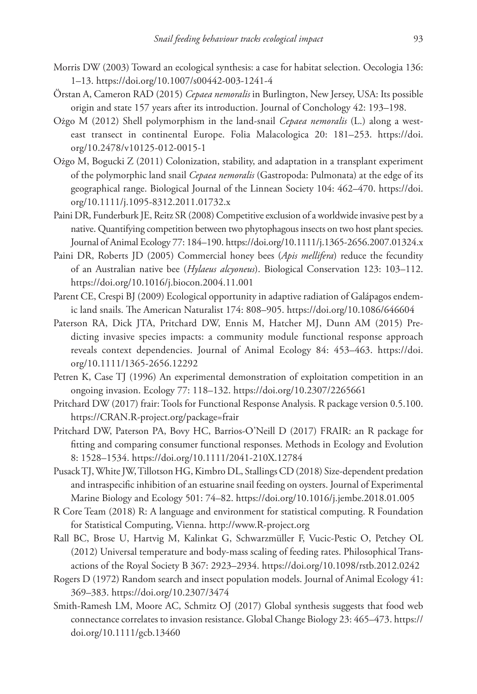- Morris DW (2003) Toward an ecological synthesis: a case for habitat selection. Oecologia 136: 1–13.<https://doi.org/10.1007/s00442-003-1241-4>
- Örstan A, Cameron RAD (2015) *Cepaea nemoralis* in Burlington, New Jersey, USA: Its possible origin and state 157 years after its introduction. Journal of Conchology 42: 193–198.
- Ożgo M (2012) Shell polymorphism in the land-snail *Cepaea nemoralis* (L.) along a westeast transect in continental Europe. Folia Malacologica 20: 181–253. [https://doi.](https://doi.org/10.2478/v10125-012-0015-1) [org/10.2478/v10125-012-0015-1](https://doi.org/10.2478/v10125-012-0015-1)
- Ożgo M, Bogucki Z (2011) Colonization, stability, and adaptation in a transplant experiment of the polymorphic land snail *Cepaea nemoralis* (Gastropoda: Pulmonata) at the edge of its geographical range. Biological Journal of the Linnean Society 104: 462–470. [https://doi.](https://doi.org/10.1111/j.1095-8312.2011.01732.x) [org/10.1111/j.1095-8312.2011.01732.x](https://doi.org/10.1111/j.1095-8312.2011.01732.x)
- Paini DR, Funderburk JE, Reitz SR (2008) Competitive exclusion of a worldwide invasive pest by a native. Quantifying competition between two phytophagous insects on two host plant species. Journal of Animal Ecology 77: 184–190.<https://doi.org/10.1111/j.1365-2656.2007.01324.x>
- Paini DR, Roberts JD (2005) Commercial honey bees (*Apis mellifera*) reduce the fecundity of an Australian native bee (*Hylaeus alcyoneus*). Biological Conservation 123: 103–112. <https://doi.org/10.1016/j.biocon.2004.11.001>
- Parent CE, Crespi BJ (2009) Ecological opportunity in adaptive radiation of Galápagos endemic land snails. The American Naturalist 174: 808–905.<https://doi.org/10.1086/646604>
- Paterson RA, Dick JTA, Pritchard DW, Ennis M, Hatcher MJ, Dunn AM (2015) Predicting invasive species impacts: a community module functional response approach reveals context dependencies. Journal of Animal Ecology 84: 453–463. [https://doi.](https://doi.org/10.1111/1365-2656.12292) [org/10.1111/1365-2656.12292](https://doi.org/10.1111/1365-2656.12292)
- Petren K, Case TJ (1996) An experimental demonstration of exploitation competition in an ongoing invasion. Ecology 77: 118–132. <https://doi.org/10.2307/2265661>
- Pritchard DW (2017) frair: Tools for Functional Response Analysis. R package version 0.5.100. <https://CRAN.R-project.org/package=frair>
- Pritchard DW, Paterson PA, Bovy HC, Barrios-O'Neill D (2017) FRAIR: an R package for fitting and comparing consumer functional responses. Methods in Ecology and Evolution 8: 1528–1534.<https://doi.org/10.1111/2041-210X.12784>
- Pusack TJ, White JW, Tillotson HG, Kimbro DL, Stallings CD (2018) Size-dependent predation and intraspecific inhibition of an estuarine snail feeding on oysters. Journal of Experimental Marine Biology and Ecology 501: 74–82. <https://doi.org/10.1016/j.jembe.2018.01.005>
- R Core Team (2018) R: A language and environment for statistical computing. R Foundation for Statistical Computing, Vienna.<http://www.R-project.org>
- Rall BC, Brose U, Hartvig M, Kalinkat G, Schwarzmüller F, Vucic-Pestic O, Petchey OL (2012) Universal temperature and body-mass scaling of feeding rates. Philosophical Transactions of the Royal Society B 367: 2923–2934.<https://doi.org/10.1098/rstb.2012.0242>
- Rogers D (1972) Random search and insect population models. Journal of Animal Ecology 41: 369–383.<https://doi.org/10.2307/3474>
- Smith-Ramesh LM, Moore AC, Schmitz OJ (2017) Global synthesis suggests that food web connectance correlates to invasion resistance. Global Change Biology 23: 465–473. [https://](https://doi.org/10.1111/gcb.13460) [doi.org/10.1111/gcb.13460](https://doi.org/10.1111/gcb.13460)